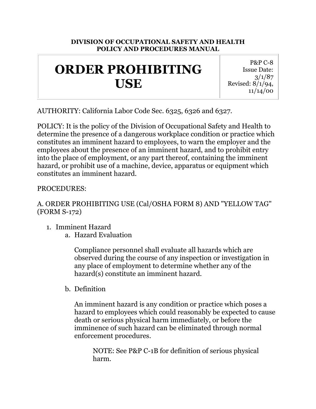#### **DIVISION OF OCCUPATIONAL SAFETY AND HEALTH POLICY AND PROCEDURES MANUAL**

# **ORDER PROHIBITING USE**

P&P C-8 Issue Date: 3/1/87 Revised: 8/1/94, 11/14/00

AUTHORITY: California Labor Code Sec. 6325, 6326 and 6327.

POLICY: It is the policy of the Division of Occupational Safety and Health to determine the presence of a dangerous workplace condition or practice which constitutes an imminent hazard to employees, to warn the employer and the employees about the presence of an imminent hazard, and to prohibit entry into the place of employment, or any part thereof, containing the imminent hazard, or prohibit use of a machine, device, apparatus or equipment which constitutes an imminent hazard.

PROCEDURES:

#### A. ORDER PROHIBITING USE (Cal/OSHA FORM 8) AND "YELLOW TAG" (FORM S-172)

- 1. Imminent Hazard
	- a. Hazard Evaluation

Compliance personnel shall evaluate all hazards which are observed during the course of any inspection or investigation in any place of employment to determine whether any of the hazard(s) constitute an imminent hazard.

b. Definition

An imminent hazard is any condition or practice which poses a hazard to employees which could reasonably be expected to cause death or serious physical harm immediately, or before the imminence of such hazard can be eliminated through normal enforcement procedures.

NOTE: See P&P C-1B for definition of serious physical harm.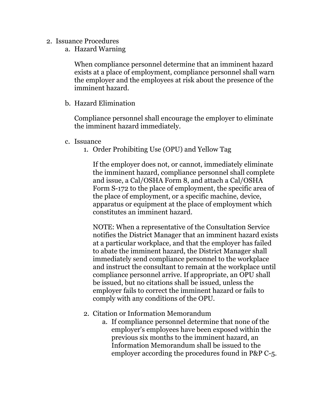- 2. Issuance Procedures
	- a. Hazard Warning

When compliance personnel determine that an imminent hazard exists at a place of employment, compliance personnel shall warn the employer and the employees at risk about the presence of the imminent hazard.

b. Hazard Elimination

Compliance personnel shall encourage the employer to eliminate the imminent hazard immediately.

- c. Issuance
	- 1. Order Prohibiting Use (OPU) and Yellow Tag

If the employer does not, or cannot, immediately eliminate the imminent hazard, compliance personnel shall complete and issue, a Cal/OSHA Form 8, and attach a Cal/OSHA Form S-172 to the place of employment, the specific area of the place of employment, or a specific machine, device, apparatus or equipment at the place of employment which constitutes an imminent hazard.

NOTE: When a representative of the Consultation Service notifies the District Manager that an imminent hazard exists at a particular workplace, and that the employer has failed to abate the imminent hazard, the District Manager shall immediately send compliance personnel to the workplace and instruct the consultant to remain at the workplace until compliance personnel arrive. If appropriate, an OPU shall be issued, but no citations shall be issued, unless the employer fails to correct the imminent hazard or fails to comply with any conditions of the OPU.

- 2. Citation or Information Memorandum
	- a. If compliance personnel determine that none of the employer's employees have been exposed within the previous six months to the imminent hazard, an Information Memorandum shall be issued to the employer according the procedures found in P&P C-5.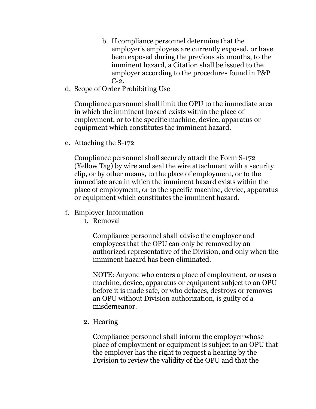- b. If compliance personnel determine that the employer's employees are currently exposed, or have been exposed during the previous six months, to the imminent hazard, a Citation shall be issued to the employer according to the procedures found in P&P  $C-2$ .
- d. Scope of Order Prohibiting Use

Compliance personnel shall limit the OPU to the immediate area in which the imminent hazard exists within the place of employment, or to the specific machine, device, apparatus or equipment which constitutes the imminent hazard.

e. Attaching the S-172

Compliance personnel shall securely attach the Form S-172 (Yellow Tag) by wire and seal the wire attachment with a security clip, or by other means, to the place of employment, or to the immediate area in which the imminent hazard exists within the place of employment, or to the specific machine, device, apparatus or equipment which constitutes the imminent hazard.

- f. Employer Information
	- 1. Removal

Compliance personnel shall advise the employer and employees that the OPU can only be removed by an authorized representative of the Division, and only when the imminent hazard has been eliminated.

NOTE: Anyone who enters a place of employment, or uses a machine, device, apparatus or equipment subject to an OPU before it is made safe, or who defaces, destroys or removes an OPU without Division authorization, is guilty of a misdemeanor.

2. Hearing

Compliance personnel shall inform the employer whose place of employment or equipment is subject to an OPU that the employer has the right to request a hearing by the Division to review the validity of the OPU and that the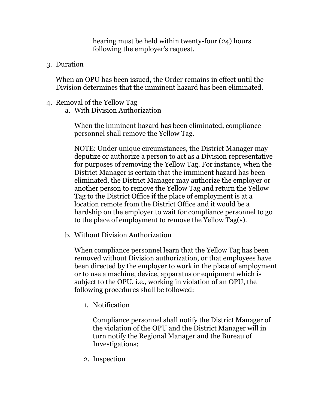hearing must be held within twenty-four (24) hours following the employer's request.

3. Duration

When an OPU has been issued, the Order remains in effect until the Division determines that the imminent hazard has been eliminated.

- 4. Removal of the Yellow Tag
	- a. With Division Authorization

When the imminent hazard has been eliminated, compliance personnel shall remove the Yellow Tag.

NOTE: Under unique circumstances, the District Manager may deputize or authorize a person to act as a Division representative for purposes of removing the Yellow Tag. For instance, when the District Manager is certain that the imminent hazard has been eliminated, the District Manager may authorize the employer or another person to remove the Yellow Tag and return the Yellow Tag to the District Office if the place of employment is at a location remote from the District Office and it would be a hardship on the employer to wait for compliance personnel to go to the place of employment to remove the Yellow Tag(s).

b. Without Division Authorization

When compliance personnel learn that the Yellow Tag has been removed without Division authorization, or that employees have been directed by the employer to work in the place of employment or to use a machine, device, apparatus or equipment which is subject to the OPU, i.e., working in violation of an OPU, the following procedures shall be followed:

1. Notification

Compliance personnel shall notify the District Manager of the violation of the OPU and the District Manager will in turn notify the Regional Manager and the Bureau of Investigations;

2. Inspection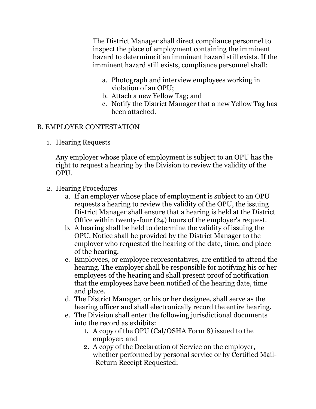The District Manager shall direct compliance personnel to inspect the place of employment containing the imminent hazard to determine if an imminent hazard still exists. If the imminent hazard still exists, compliance personnel shall:

- a. Photograph and interview employees working in violation of an OPU;
- b. Attach a new Yellow Tag; and
- c. Notify the District Manager that a new Yellow Tag has been attached.

#### B. EMPLOYER CONTESTATION

1. Hearing Requests

Any employer whose place of employment is subject to an OPU has the right to request a hearing by the Division to review the validity of the OPU.

### 2. Hearing Procedures

- a. If an employer whose place of employment is subject to an OPU requests a hearing to review the validity of the OPU, the issuing District Manager shall ensure that a hearing is held at the District Office within twenty-four (24) hours of the employer's request.
- b. A hearing shall be held to determine the validity of issuing the OPU. Notice shall be provided by the District Manager to the employer who requested the hearing of the date, time, and place of the hearing.
- c. Employees, or employee representatives, are entitled to attend the hearing. The employer shall be responsible for notifying his or her employees of the hearing and shall present proof of notification that the employees have been notified of the hearing date, time and place.
- d. The District Manager, or his or her designee, shall serve as the hearing officer and shall electronically record the entire hearing.
- e. The Division shall enter the following jurisdictional documents into the record as exhibits:
	- 1. A copy of the OPU (Cal/OSHA Form 8) issued to the employer; and
	- 2. A copy of the Declaration of Service on the employer, whether performed by personal service or by Certified Mail- -Return Receipt Requested;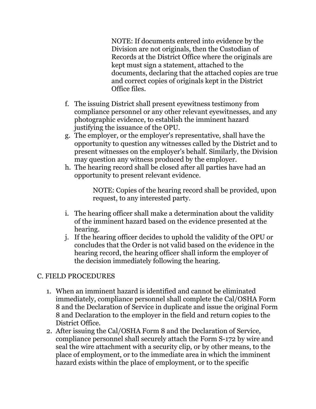NOTE: If documents entered into evidence by the Division are not originals, then the Custodian of Records at the District Office where the originals are kept must sign a statement, attached to the documents, declaring that the attached copies are true and correct copies of originals kept in the District Office files.

- f. The issuing District shall present eyewitness testimony from compliance personnel or any other relevant eyewitnesses, and any photographic evidence, to establish the imminent hazard justifying the issuance of the OPU.
- g. The employer, or the employer's representative, shall have the opportunity to question any witnesses called by the District and to present witnesses on the employer's behalf. Similarly, the Division may question any witness produced by the employer.
- h. The hearing record shall be closed after all parties have had an opportunity to present relevant evidence.

NOTE: Copies of the hearing record shall be provided, upon request, to any interested party.

- i. The hearing officer shall make a determination about the validity of the imminent hazard based on the evidence presented at the hearing.
- j. If the hearing officer decides to uphold the validity of the OPU or concludes that the Order is not valid based on the evidence in the hearing record, the hearing officer shall inform the employer of the decision immediately following the hearing.

### C. FIELD PROCEDURES

- 1. When an imminent hazard is identified and cannot be eliminated immediately, compliance personnel shall complete the Cal/OSHA Form 8 and the Declaration of Service in duplicate and issue the original Form 8 and Declaration to the employer in the field and return copies to the District Office.
- 2. After issuing the Cal/OSHA Form 8 and the Declaration of Service, compliance personnel shall securely attach the Form S-172 by wire and seal the wire attachment with a security clip, or by other means, to the place of employment, or to the immediate area in which the imminent hazard exists within the place of employment, or to the specific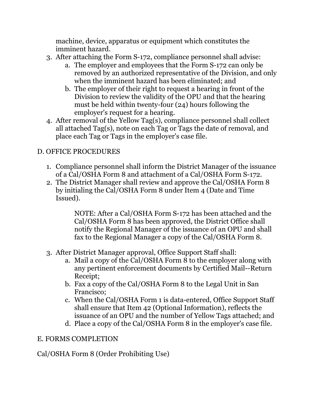machine, device, apparatus or equipment which constitutes the imminent hazard.

- 3. After attaching the Form S-172, compliance personnel shall advise:
	- a. The employer and employees that the Form S-172 can only be removed by an authorized representative of the Division, and only when the imminent hazard has been eliminated; and
	- b. The employer of their right to request a hearing in front of the Division to review the validity of the OPU and that the hearing must be held within twenty-four (24) hours following the employer's request for a hearing.
- 4. After removal of the Yellow Tag(s), compliance personnel shall collect all attached Tag(s), note on each Tag or Tags the date of removal, and place each Tag or Tags in the employer's case file.

## D. OFFICE PROCEDURES

- 1. Compliance personnel shall inform the District Manager of the issuance of a Cal/OSHA Form 8 and attachment of a Cal/OSHA Form S-172.
- 2. The District Manager shall review and approve the Cal/OSHA Form 8 by initialing the Cal/OSHA Form 8 under Item 4 (Date and Time Issued).

NOTE: After a Cal/OSHA Form S-172 has been attached and the Cal/OSHA Form 8 has been approved, the District Office shall notify the Regional Manager of the issuance of an OPU and shall fax to the Regional Manager a copy of the Cal/OSHA Form 8.

- 3. After District Manager approval, Office Support Staff shall:
	- a. Mail a copy of the Cal/OSHA Form 8 to the employer along with any pertinent enforcement documents by Certified Mail--Return Receipt;
	- b. Fax a copy of the Cal/OSHA Form 8 to the Legal Unit in San Francisco;
	- c. When the Cal/OSHA Form 1 is data-entered, Office Support Staff shall ensure that Item 42 (Optional Information), reflects the issuance of an OPU and the number of Yellow Tags attached; and
	- d. Place a copy of the Cal/OSHA Form 8 in the employer's case file.

### E. FORMS COMPLETION

Cal/OSHA Form 8 (Order Prohibiting Use)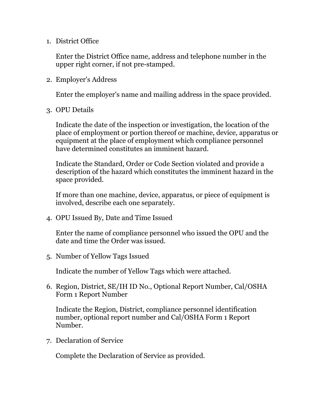1. District Office

Enter the District Office name, address and telephone number in the upper right corner, if not pre-stamped.

2. Employer's Address

Enter the employer's name and mailing address in the space provided.

3. OPU Details

Indicate the date of the inspection or investigation, the location of the place of employment or portion thereof or machine, device, apparatus or equipment at the place of employment which compliance personnel have determined constitutes an imminent hazard.

Indicate the Standard, Order or Code Section violated and provide a description of the hazard which constitutes the imminent hazard in the space provided.

If more than one machine, device, apparatus, or piece of equipment is involved, describe each one separately.

4. OPU Issued By, Date and Time Issued

Enter the name of compliance personnel who issued the OPU and the date and time the Order was issued.

5. Number of Yellow Tags Issued

Indicate the number of Yellow Tags which were attached.

6. Region, District, SE/IH ID No., Optional Report Number, Cal/OSHA Form 1 Report Number

Indicate the Region, District, compliance personnel identification number, optional report number and Cal/OSHA Form 1 Report Number.

7. Declaration of Service

Complete the Declaration of Service as provided.